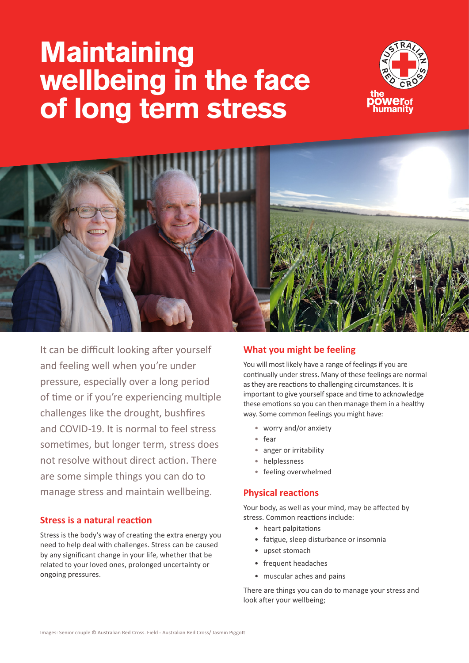# **Maintaining wellbeing in the face of long term stress**





It can be difficult looking after yourself and feeling well when you're under pressure, especially over a long period of time or if you're experiencing multiple challenges like the drought, bushfires and COVID-19. It is normal to feel stress sometimes, but longer term, stress does not resolve without direct action. There are some simple things you can do to manage stress and maintain wellbeing.

## **Stress is a natural reaction**

Stress is the body's way of creating the extra energy you need to help deal with challenges. Stress can be caused by any significant change in your life, whether that be related to your loved ones, prolonged uncertainty or ongoing pressures.

# **What you might be feeling**

You will most likely have a range of feelings if you are continually under stress. Many of these feelings are normal as they are reactions to challenging circumstances. It is important to give yourself space and time to acknowledge these emotions so you can then manage them in a healthy way. Some common feelings you might have:

- worry and/or anxiety
- fear
- anger or irritability
- helplessness
- feeling overwhelmed

## **Physical reactions**

Your body, as well as your mind, may be affected by stress. Common reactions include:

- heart palpitations
- fatigue, sleep disturbance or insomnia
- upset stomach
- frequent headaches
- muscular aches and pains

There are things you can do to manage your stress and look after your wellbeing;